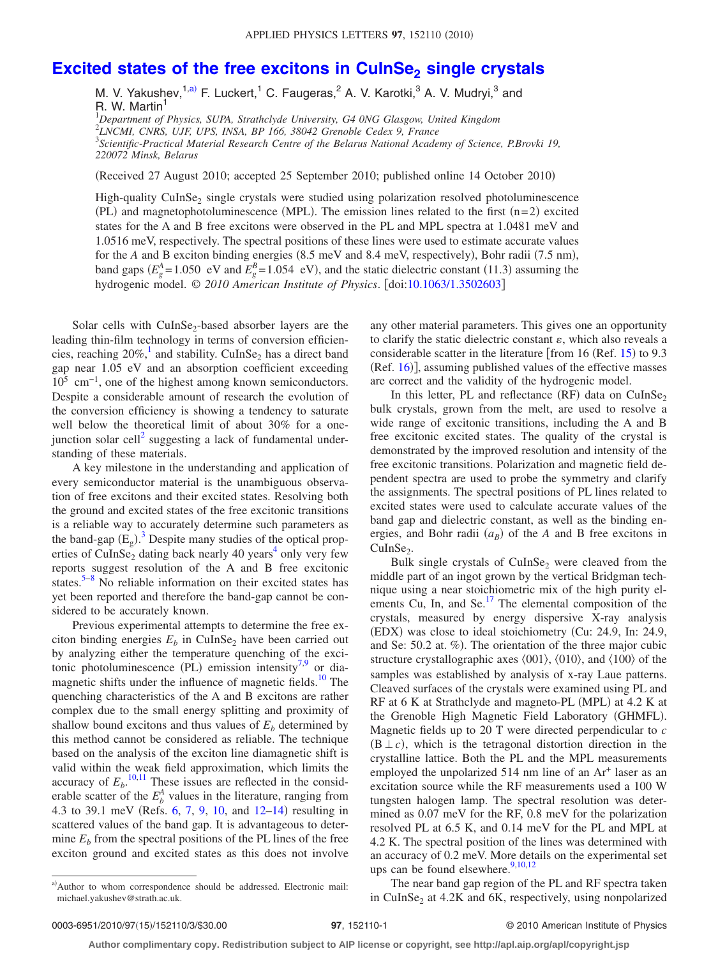## **Excited states of the free excitons in CuInSe<sub>2</sub> single crystals**

M. V. Yakushev,<sup>1[,a](#page-0-0))</sup> F. Luckert,<sup>1</sup> C. Faugeras,<sup>2</sup> A. V. Karotki,<sup>3</sup> A. V. Mudryi,<sup>3</sup> and R. W. Martin<sup>1</sup>

 *Department of Physics, SUPA, Strathclyde University, G4 0NG Glasgow, United Kingdom LNCMI, CNRS, UJF, UPS, INSA, BP 166, 38042 Grenoble Cedex 9, France Scientific-Practical Material Research Centre of the Belarus National Academy of Science, P.Brovki 19, 220072 Minsk, Belarus*

(Received 27 August 2010; accepted 25 September 2010; published online 14 October 2010)

High-quality CuInSe<sub>2</sub> single crystals were studied using polarization resolved photoluminescence  $(PL)$  and magnetophotoluminescence (MPL). The emission lines related to the first  $(n=2)$  excited states for the A and B free excitons were observed in the PL and MPL spectra at 1.0481 meV and 1.0516 meV, respectively. The spectral positions of these lines were used to estimate accurate values for the *A* and B exciton binding energies (8.5 meV and 8.4 meV, respectively), Bohr radii (7.5 nm), band gaps  $(E_g^A = 1.050 \text{ eV}$  and  $E_g^B = 1.054 \text{ eV}$ , and the static dielectric constant (11.3) assuming the hydrogenic model. © 2010 American Institute of Physics. [doi[:10.1063/1.3502603](http://dx.doi.org/10.1063/1.3502603)]

Solar cells with  $CuInSe<sub>2</sub>$ -based absorber layers are the leading thin-film technology in terms of conversion efficiencies, reaching  $20\%$ ,<sup>1</sup> and stability. CuInSe<sub>2</sub> has a direct band gap near 1.05 eV and an absorption coefficient exceeding  $10^5$  cm<sup>-1</sup>, one of the highest among known semiconductors. Despite a considerable amount of research the evolution of the conversion efficiency is showing a tendency to saturate well below the theoretical limit of about 30% for a onejunction solar cell<sup>2</sup> suggesting a lack of fundamental understanding of these materials.

A key milestone in the understanding and application of every semiconductor material is the unambiguous observation of free excitons and their excited states. Resolving both the ground and excited states of the free excitonic transitions is a reliable way to accurately determine such parameters as the band-gap  $(E_g)$ .<sup>[3](#page-2-2)</sup> Despite many studies of the optical properties of CuInSe<sub>2</sub> dating back nearly 40 years<sup>4</sup> only very few reports suggest resolution of the A and B free excitonic states.<sup>5–[8](#page-2-5)</sup> No reliable information on their excited states has yet been reported and therefore the band-gap cannot be considered to be accurately known.

Previous experimental attempts to determine the free exciton binding energies  $E_b$  in CuInSe<sub>2</sub> have been carried out by analyzing either the temperature quenching of the exci-tonic photoluminescence (PL) emission intensity<sup>7,[9](#page-2-7)</sup> or diamagnetic shifts under the influence of magnetic fields.<sup>10</sup> The quenching characteristics of the A and B excitons are rather complex due to the small energy splitting and proximity of shallow bound excitons and thus values of  $E<sub>b</sub>$  determined by this method cannot be considered as reliable. The technique based on the analysis of the exciton line diamagnetic shift is valid within the weak field approximation, which limits the accuracy of  $E_b$ .<sup>[10,](#page-2-8)[11](#page-2-9)</sup> These issues are reflected in the considerable scatter of the  $E_b^A$  values in the literature, ranging from 4.3 to 39.1 meV (Refs.  $6, 7, 9, 10,$  $6, 7, 9, 10,$  $6, 7, 9, 10,$  $6, 7, 9, 10,$  $6, 7, 9, 10,$  $6, 7, 9, 10,$  $6, 7, 9, 10,$  and  $12-14$  $12-14$ ) resulting in scattered values of the band gap. It is advantageous to determine  $E<sub>b</sub>$  from the spectral positions of the PL lines of the free exciton ground and excited states as this does not involve any other material parameters. This gives one an opportunity to clarify the static dielectric constant  $\varepsilon$ , which also reveals a considerable scatter in the literature [from 16 (Ref.  $15$ ) to 9.3 (Ref. [16](#page-2-14))], assuming published values of the effective masses are correct and the validity of the hydrogenic model.

In this letter, PL and reflectance  $(RF)$  data on CuInSe<sub>2</sub> bulk crystals, grown from the melt, are used to resolve a wide range of excitonic transitions, including the A and B free excitonic excited states. The quality of the crystal is demonstrated by the improved resolution and intensity of the free excitonic transitions. Polarization and magnetic field dependent spectra are used to probe the symmetry and clarify the assignments. The spectral positions of PL lines related to excited states were used to calculate accurate values of the band gap and dielectric constant, as well as the binding energies, and Bohr radii  $(a_B)$  of the *A* and B free excitons in  $CulnSe<sub>2</sub>$ .

Bulk single crystals of  $CuInSe<sub>2</sub>$  were cleaved from the middle part of an ingot grown by the vertical Bridgman technique using a near stoichiometric mix of the high purity elements Cu, In, and Se.<sup>17</sup> The elemental composition of the crystals, measured by energy dispersive X-ray analysis (EDX) was close to ideal stoichiometry (Cu: 24.9, In: 24.9, and Se: 50.2 at.  $\%$ ). The orientation of the three major cubic structure crystallographic axes  $\langle 001 \rangle$ ,  $\langle 010 \rangle$ , and  $\langle 100 \rangle$  of the samples was established by analysis of x-ray Laue patterns. Cleaved surfaces of the crystals were examined using PL and RF at 6 K at Strathclyde and magneto-PL (MPL) at 4.2 K at the Grenoble High Magnetic Field Laboratory (GHMFL). Magnetic fields up to 20 T were directed perpendicular to *c*  $(B \perp c)$ , which is the tetragonal distortion direction in the crystalline lattice. Both the PL and the MPL measurements employed the unpolarized 514 nm line of an Ar<sup>+</sup> laser as an excitation source while the RF measurements used a 100 W tungsten halogen lamp. The spectral resolution was determined as 0.07 meV for the RF, 0.8 meV for the polarization resolved PL at 6.5 K, and 0.14 meV for the PL and MPL at 4.2 K. The spectral position of the lines was determined with an accuracy of 0.2 meV. More details on the experimental set ups can be found elsewhere.<sup>9,[10,](#page-2-8)[12](#page-2-11)</sup>

The near band gap region of the PL and RF spectra taken in CuInSe<sub>2</sub> at  $4.2K$  and  $6K$ , respectively, using nonpolarized

<span id="page-0-0"></span>a)Author to whom correspondence should be addressed. Electronic mail: michael.yakushev@strath.ac.uk.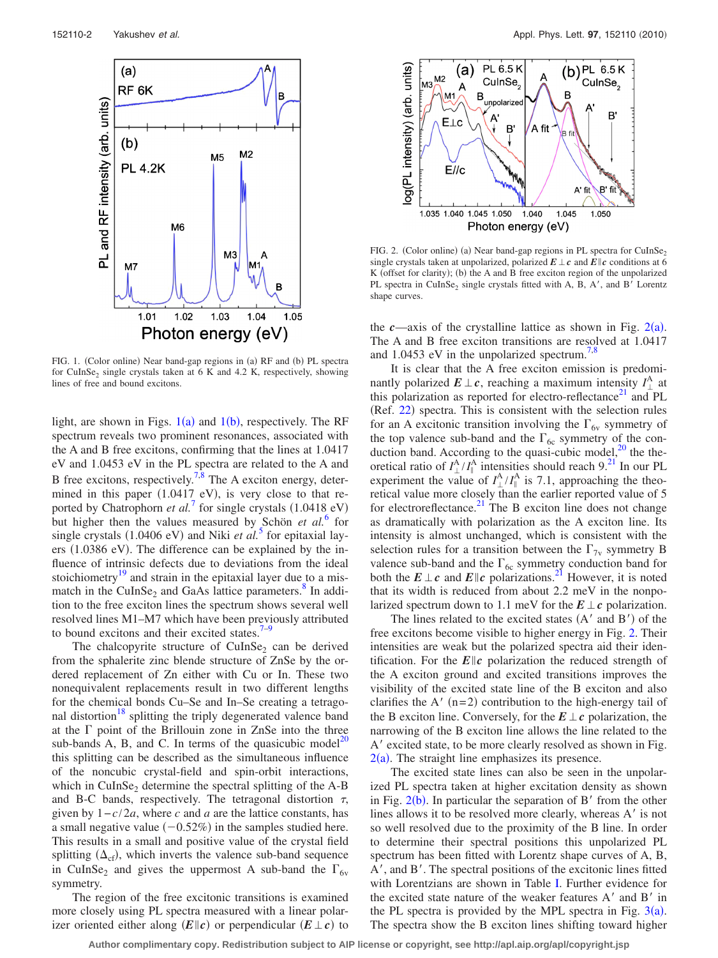<span id="page-1-0"></span>

FIG. 1. (Color online) Near band-gap regions in (a) RF and (b) PL spectra for CuInSe<sub>2</sub> single crystals taken at  $6$  K and  $4.2$  K, respectively, showing lines of free and bound excitons.

light, are shown in Figs.  $1(a)$  $1(a)$  and  $1(b)$ , respectively. The RF spectrum reveals two prominent resonances, associated with the A and B free excitons, confirming that the lines at 1.0417 eV and 1.0453 eV in the PL spectra are related to the A and B free excitons, respectively.<sup>7,[8](#page-2-5)</sup> The A exciton energy, determined in this paper  $(1.0417 \text{ eV})$  $(1.0417 \text{ eV})$  $(1.0417 \text{ eV})$ , is very close to that reported by Chatrophorn *et al.*<sup>7</sup> for single crystals  $(1.0418 \text{ eV})$ but higher then the values measured by Schön *et al.*[6](#page-2-10) for single crystals (1.0406 eV) and Niki *et al.*<sup>[5](#page-2-4)</sup> for epitaxial layers (1.0386 eV). The difference can be explained by the influence of intrinsic defects due to deviations from the ideal stoichiometry $19$  and strain in the epitaxial layer due to a mismatch in the CuInSe<sub>2</sub> and GaAs lattice parameters.<sup>8</sup> In addition to the free exciton lines the spectrum shows several well resolved lines M1–M7 which have been previously attributed to bound excitons and their excited states. $7-9$ 

The chalcopyrite structure of CuInSe<sub>2</sub> can be derived from the sphalerite zinc blende structure of ZnSe by the ordered replacement of Zn either with Cu or In. These two nonequivalent replacements result in two different lengths for the chemical bonds Cu–Se and In–Se creating a tetragonal distortion<sup>18</sup> splitting the triply degenerated valence band at the  $\Gamma$  point of the Brillouin zone in ZnSe into the three sub-bands A, B, and C. In terms of the quasicubic model<sup>20</sup> this splitting can be described as the simultaneous influence of the noncubic crystal-field and spin-orbit interactions, which in  $CuInSe<sub>2</sub>$  determine the spectral splitting of the A-B and B-C bands, respectively. The tetragonal distortion  $\tau$ , given by 1−*c*/2*a*, where *c* and *a* are the lattice constants, has a small negative value  $(-0.52%)$  in the samples studied here. This results in a small and positive value of the crystal field splitting  $(\Delta_{cf})$ , which inverts the valence sub-band sequence in CuInSe<sub>2</sub> and gives the uppermost A sub-band the  $\Gamma_{6v}$ symmetry.

The region of the free excitonic transitions is examined more closely using PL spectra measured with a linear polarizer oriented either along  $(E||c)$  or perpendicular  $(E \perp c)$  to

<span id="page-1-1"></span>

FIG. 2. (Color online) (a) Near band-gap regions in PL spectra for  $CuInSe<sub>2</sub>$ single crystals taken at unpolarized, polarized  $E \perp c$  and  $E || c$  conditions at 6 K (offset for clarity); (b) the A and B free exciton region of the unpolarized PL spectra in CuInSe<sub>2</sub> single crystals fitted with A, B, A', and B' Lorentz shape curves.

the  $c$ —axis of the crystalline lattice as shown in Fig.  $2(a)$  $2(a)$ . The A and B free exciton transitions are resolved at 1.0417 and 1.0453 eV in the unpolarized spectrum.<sup>7[,8](#page-2-5)</sup>

It is clear that the A free exciton emission is predominantly polarized  $E \perp c$ , reaching a maximum intensity  $I_{\perp}^{A}$  at this polarization as reported for electro-reflectance<sup>21</sup> and PL (Ref. [22](#page-2-20)) spectra. This is consistent with the selection rules for an A excitonic transition involving the  $\Gamma_{6v}$  symmetry of the top valence sub-band and the  $\Gamma_{6c}$  symmetry of the conduction band. According to the quasi-cubic model, $^{20}$  the theoretical ratio of  $I^{\text{A}}_{\perp}/I^{\text{A}}_{\parallel}$  intensities should reach 9.<sup>21</sup> In our PL experiment the value of  $I^{\text{A}}_{\perp}/I^{\text{A}}_{\parallel}$  is 7.1, approaching the theo retical value more closely than the earlier reported value of 5 for electroreflectance. $^{21}$  The B exciton line does not change as dramatically with polarization as the A exciton line. Its intensity is almost unchanged, which is consistent with the selection rules for a transition between the  $\Gamma_{7v}$  symmetry B valence sub-band and the  $\Gamma_{6c}$  symmetry conduction band for both the  $E \perp c$  and  $E || c$  polarizations.<sup>21</sup> However, it is noted that its width is reduced from about 2.2 meV in the nonpolarized spectrum down to 1.1 meV for the  $E \perp c$  polarization.

The lines related to the excited states  $(A'$  and  $B')$  of the free excitons become visible to higher energy in Fig. [2.](#page-1-1) Their intensities are weak but the polarized spectra aid their identification. For the  $E||c$  polarization the reduced strength of the A exciton ground and excited transitions improves the visibility of the excited state line of the B exciton and also clarifies the A'  $(n=2)$  contribution to the high-energy tail of the B exciton line. Conversely, for the  $E \perp c$  polarization, the narrowing of the B exciton line allows the line related to the A' excited state, to be more clearly resolved as shown in Fig.  $2(a)$  $2(a)$ . The straight line emphasizes its presence.

The excited state lines can also be seen in the unpolarized PL spectra taken at higher excitation density as shown in Fig.  $2(b)$  $2(b)$ . In particular the separation of B' from the other lines allows it to be resolved more clearly, whereas A' is not so well resolved due to the proximity of the B line. In order to determine their spectral positions this unpolarized PL spectrum has been fitted with Lorentz shape curves of A, B, A', and B'. The spectral positions of the excitonic lines fitted with Lorentzians are shown in Table [I.](#page-2-21) Further evidence for the excited state nature of the weaker features  $A'$  and  $B'$  in the PL spectra is provided by the MPL spectra in Fig.  $3(a)$  $3(a)$ . The spectra show the B exciton lines shifting toward higher